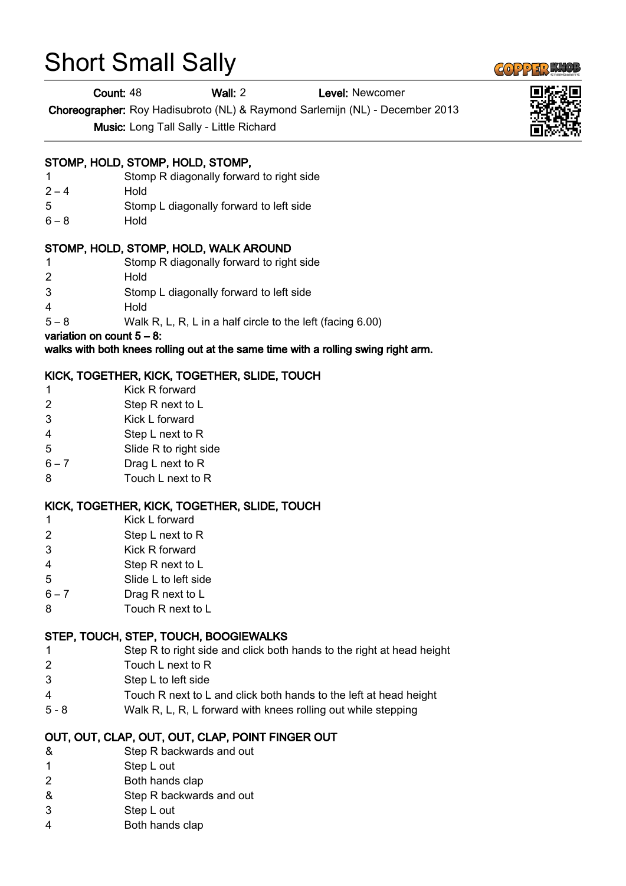# Short Small Sally

Count: 48 Wall: 2 Level: Newcomer

Choreographer: Roy Hadisubroto (NL) & Raymond Sarlemijn (NL) - December 2013

Music: Long Tall Sally - Little Richard

#### STOMP, HOLD, STOMP, HOLD, STOMP,

- 1 Stomp R diagonally forward to right side
- $2 4$  Hold
- 5 Stomp L diagonally forward to left side
- 6 8 Hold

#### STOMP, HOLD, STOMP, HOLD, WALK AROUND

- 1 Stomp R diagonally forward to right side
- 2 Hold
- 3 Stomp L diagonally forward to left side
- 4 Hold
- 5 8 Walk R, L, R, L in a half circle to the left (facing 6.00)

variation on count  $5 - 8$ :

walks with both knees rolling out at the same time with a rolling swing right arm.

### KICK, TOGETHER, KICK, TOGETHER, SLIDE, TOUCH

- 1 Kick R forward
- 2 Step R next to L
- 3 Kick L forward
- 4 Step L next to R
- 5 Slide R to right side
- 6 7 Drag L next to R
- 8 Touch L next to R

#### KICK, TOGETHER, KICK, TOGETHER, SLIDE, TOUCH

- 1 Kick L forward
- 2 Step L next to R
- 3 Kick R forward
- 4 Step R next to L
- 5 Slide L to left side
- 6 7 Drag R next to L
- 8 Touch R next to L

#### STEP, TOUCH, STEP, TOUCH, BOOGIEWALKS

- 1 Step R to right side and click both hands to the right at head height
- 2 Touch L next to R
- 3 Step L to left side
- 4 Touch R next to L and click both hands to the left at head height
- 5 8 Walk R, L, R, L forward with knees rolling out while stepping

### OUT, OUT, CLAP, OUT, OUT, CLAP, POINT FINGER OUT

- & Step R backwards and out
- 1 Step L out
- 2 Both hands clap
- & Step R backwards and out
- 3 Step L out
- 4 Both hands clap